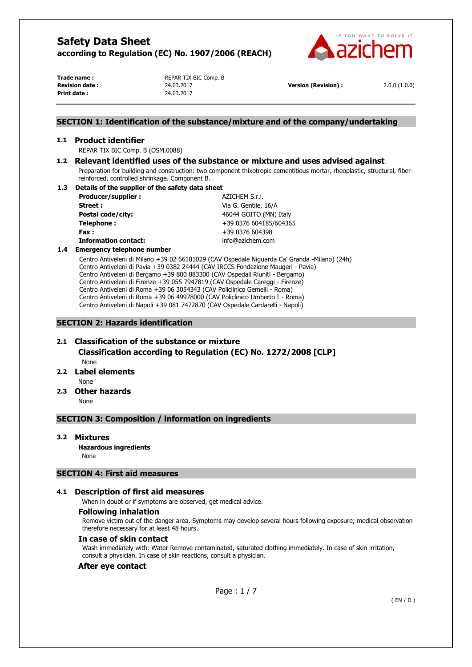

**Print date :** 24.03.2017

**Trade name :** <br>REPAR TIX BIC Comp. B **Revision date :** 24.03.2017 **Version (Revision) :** 2.0.0 (1.0.0)

## **SECTION 1: Identification of the substance/mixture and of the company/undertaking**

#### **1.1 Product identifier**

REPAR TIX BIC Comp. B (OSM.0088)

# **1.2 Relevant identified uses of the substance or mixture and uses advised against**

Preparation for building and construction: two component thixotropic cementitious mortar, rheoplastic, structural, fiberreinforced, controlled shrinkage. Component B.

#### **1.3 Details of the supplier of the safety data sheet**

**Producer/supplier :**  $AZICHEM S.r.l.$ **Street :** Via G. Gentile, 16/A **Postal code/city:**  $46044 \text{ GOITO (MN) Italy}$ **Telephone :**  $+39\,0376\,604185/604365$ **Fax :** +39 0376 604398 **Information contact:** info@azichem.com

#### **1.4 Emergency telephone number**

Centro Antiveleni di Milano +39 02 66101029 (CAV Ospedale Niguarda Ca' Granda -Milano) (24h) Centro Antiveleni di Pavia +39 0382 24444 (CAV IRCCS Fondazione Maugeri - Pavia) Centro Antiveleni di Bergamo +39 800 883300 (CAV Ospedali Riuniti - Bergamo) Centro Antiveleni di Firenze +39 055 7947819 (CAV Ospedale Careggi - Firenze) Centro Antiveleni di Roma +39 06 3054343 (CAV Policlinico Gemelli - Roma) Centro Antiveleni di Roma +39 06 49978000 (CAV Policlinico Umberto I - Roma) Centro Antiveleni di Napoli +39 081 7472870 (CAV Ospedale Cardarelli - Napoli)

## **SECTION 2: Hazards identification**

# **2.1 Classification of the substance or mixture Classification according to Regulation (EC) No. 1272/2008 [CLP]**  None

## **2.2 Label elements**

None

**2.3 Other hazards** 

None

# **SECTION 3: Composition / information on ingredients**

#### **3.2 Mixtures**

**Hazardous ingredients** None

# **SECTION 4: First aid measures**

# **4.1 Description of first aid measures**

When in doubt or if symptoms are observed, get medical advice.

## **Following inhalation**

Remove victim out of the danger area. Symptoms may develop several hours following exposure; medical observation therefore necessary for at least 48 hours.

#### **In case of skin contact**

Wash immediately with: Water Remove contaminated, saturated clothing immediately. In case of skin irritation, consult a physician. In case of skin reactions, consult a physician.

#### **After eye contact**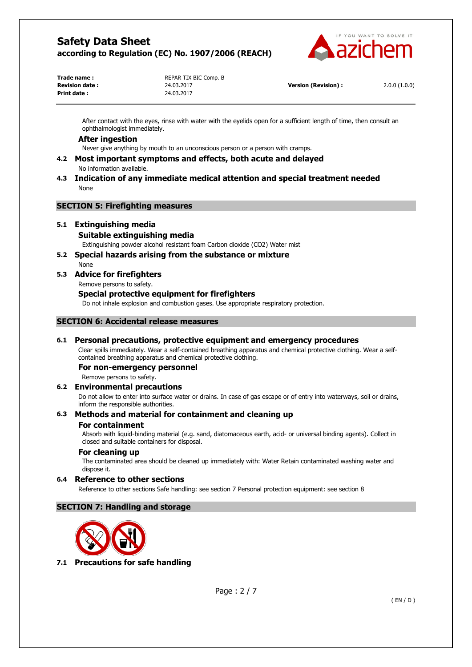

**Print date :** 24.03.2017

**Trade name :** <br>REPAR TIX BIC Comp. B

**Revision date :** 24.03.2017 **Version (Revision) :** 2.0.0 (1.0.0)

After contact with the eyes, rinse with water with the eyelids open for a sufficient length of time, then consult an ophthalmologist immediately.

## **After ingestion**

Never give anything by mouth to an unconscious person or a person with cramps.

- **4.2 Most important symptoms and effects, both acute and delayed**  No information available.
- **4.3 Indication of any immediate medical attention and special treatment needed**  None

# **SECTION 5: Firefighting measures**

# **5.1 Extinguishing media**

#### **Suitable extinguishing media**

Extinguishing powder alcohol resistant foam Carbon dioxide (CO2) Water mist

# **5.2 Special hazards arising from the substance or mixture**

# None

# **5.3 Advice for firefighters**

Remove persons to safety.

#### **Special protective equipment for firefighters**

Do not inhale explosion and combustion gases. Use appropriate respiratory protection.

# **SECTION 6: Accidental release measures**

# **6.1 Personal precautions, protective equipment and emergency procedures**

Clear spills immediately. Wear a self-contained breathing apparatus and chemical protective clothing. Wear a selfcontained breathing apparatus and chemical protective clothing.

#### **For non-emergency personnel**

Remove persons to safety.

#### **6.2 Environmental precautions**

Do not allow to enter into surface water or drains. In case of gas escape or of entry into waterways, soil or drains, inform the responsible authorities.

# **6.3 Methods and material for containment and cleaning up**

#### **For containment**

Absorb with liquid-binding material (e.g. sand, diatomaceous earth, acid- or universal binding agents). Collect in closed and suitable containers for disposal.

#### **For cleaning up**

The contaminated area should be cleaned up immediately with: Water Retain contaminated washing water and dispose it.

#### **6.4 Reference to other sections**

Reference to other sections Safe handling: see section 7 Personal protection equipment: see section 8

# **SECTION 7: Handling and storage**



**7.1 Precautions for safe handling**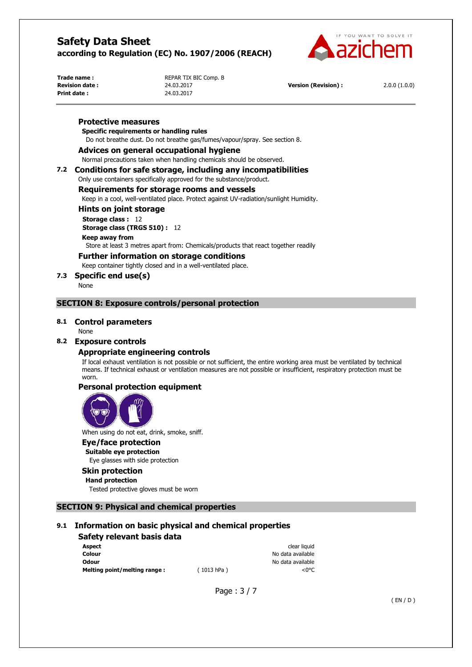

**Print date :** 24.03.2017

**Trade name :** <br>REPAR TIX BIC Comp. B

**Revision date :** 24.03.2017 **Version (Revision) :** 2.0.0 (1.0.0)

#### **Protective measures**

## **Specific requirements or handling rules**

Do not breathe dust. Do not breathe gas/fumes/vapour/spray. See section 8.

#### **Advices on general occupational hygiene**

Normal precautions taken when handling chemicals should be observed.

# **7.2 Conditions for safe storage, including any incompatibilities**

Only use containers specifically approved for the substance/product.

#### **Requirements for storage rooms and vessels**

Keep in a cool, well-ventilated place. Protect against UV-radiation/sunlight Humidity.

#### **Hints on joint storage**

**Storage class :** 12

**Storage class (TRGS 510) :** 12

#### **Keep away from**

Store at least 3 metres apart from: Chemicals/products that react together readily

# **Further information on storage conditions**

Keep container tightly closed and in a well-ventilated place.

**7.3 Specific end use(s)** 

None

# **SECTION 8: Exposure controls/personal protection**

#### **8.1 Control parameters**

#### None

# **8.2 Exposure controls**

#### **Appropriate engineering controls**

If local exhaust ventilation is not possible or not sufficient, the entire working area must be ventilated by technical means. If technical exhaust or ventilation measures are not possible or insufficient, respiratory protection must be worn.

# **Personal protection equipment**



When using do not eat, drink, smoke, sniff.

#### **Eye/face protection**

**Suitable eye protection**  Eye glasses with side protection

# **Skin protection**

**Hand protection** 

Tested protective gloves must be worn

# **SECTION 9: Physical and chemical properties**

# **9.1 Information on basic physical and chemical properties**

#### **Safety relevant basis data Aspect** clear liquid that the clear liquid the clear liquid that the clear liquid the clear liquid that  $\sim$ **Colour Colour Colour Colour Colour Colour Colour No data available Odour** No data available

**Melting point/melting range :**  $(1013 hPa)$   $<0°C$ 

Page : 3 / 7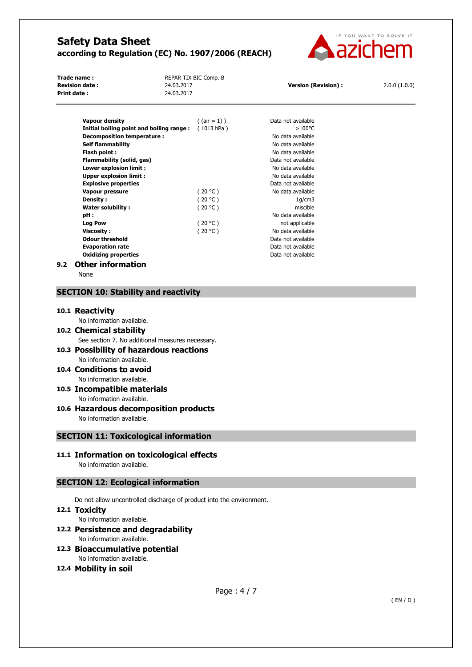

**Trade name :** <br>REPAR TIX BIC Comp. B **Revision date :** 24.03.2017 **Version (Revision) :** 2.0.0 (1.0.0) **Print date :** 24.03.2017

| <b>Vapour density</b>                    | $($ (air = 1) ) | Data not available |
|------------------------------------------|-----------------|--------------------|
| Initial boiling point and boiling range: | (1013 hPa)      | $>100^{\circ}$ C   |
| Decomposition temperature:               |                 | No data available  |
| <b>Self flammability</b>                 |                 | No data available  |
| Flash point:                             |                 | No data available  |
| Flammability (solid, gas)                |                 | Data not available |
| Lower explosion limit :                  |                 | No data available  |
| <b>Upper explosion limit:</b>            |                 | No data available  |
| <b>Explosive properties</b>              |                 | Data not available |
| Vapour pressure                          | (20 °C)         | No data available  |
| Density:                                 | (20 °C)         | 1q/cm3             |
| Water solubility:                        | (20 °C)         | miscible           |
| pH:                                      |                 | No data available  |
| <b>Log Pow</b>                           | (20 °C)         | not applicable     |
| <b>Viscosity :</b>                       | (20 °C)         | No data available  |
| <b>Odour threshold</b>                   |                 | Data not available |
| <b>Evaporation rate</b>                  |                 | Data not available |
| <b>Oxidizing properties</b>              |                 | Data not available |
|                                          |                 |                    |

# **9.2 Other information**

None

# **SECTION 10: Stability and reactivity**

#### **10.1 Reactivity**

No information available.

- **10.2 Chemical stability**  See section 7. No additional measures necessary.
- **10.3 Possibility of hazardous reactions**  No information available.
- **10.4 Conditions to avoid**  No information available.
- **10.5 Incompatible materials**  No information available.
- **10.6 Hazardous decomposition products**  No information available.

**SECTION 11: Toxicological information**

**11.1 Information on toxicological effects** 

No information available.

# **SECTION 12: Ecological information**

Do not allow uncontrolled discharge of product into the environment.

# **12.1 Toxicity**

No information available.

# **12.2 Persistence and degradability**

No information available.

# **12.3 Bioaccumulative potential**  No information available.

# **12.4 Mobility in soil**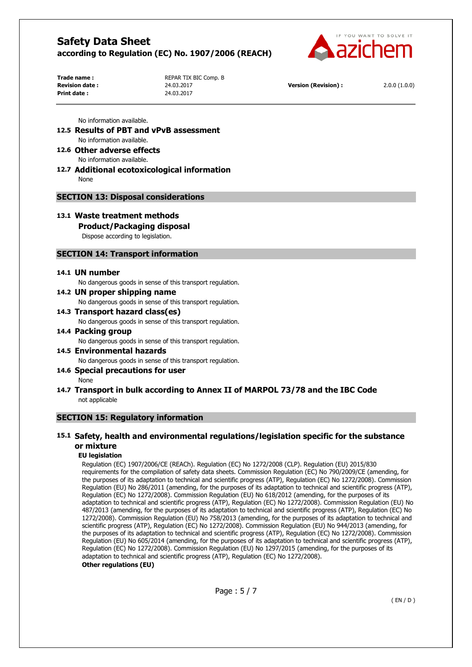

**Print date :** 24.03.2017

**Trade name :** <br>REPAR TIX BIC Comp. B **Revision date :** 24.03.2017 **Version (Revision) :** 2.0.0 (1.0.0)

No information available.

- **12.5 Results of PBT and vPvB assessment**  No information available.
- **12.6 Other adverse effects**  No information available.
- **12.7 Additional ecotoxicological information**  None

# **SECTION 13: Disposal considerations**

**13.1 Waste treatment methods** 

**Product/Packaging disposal** 

Dispose according to legislation.

# **SECTION 14: Transport information**

#### **14.1 UN number**

No dangerous goods in sense of this transport regulation.

**14.2 UN proper shipping name** 

No dangerous goods in sense of this transport regulation.

- **14.3 Transport hazard class(es)**  No dangerous goods in sense of this transport regulation.
- **14.4 Packing group**  No dangerous goods in sense of this transport regulation.
- **14.5 Environmental hazards**  No dangerous goods in sense of this transport regulation.
- **14.6 Special precautions for user**  None
- **14.7 Transport in bulk according to Annex II of MARPOL 73/78 and the IBC Code**  not applicable

#### **SECTION 15: Regulatory information**

# **15.1 Safety, health and environmental regulations/legislation specific for the substance or mixture**

#### **EU legislation**

Regulation (EC) 1907/2006/CE (REACh). Regulation (EC) No 1272/2008 (CLP). Regulation (EU) 2015/830 requirements for the compilation of safety data sheets. Commission Regulation (EC) No 790/2009/CE (amending, for the purposes of its adaptation to technical and scientific progress (ATP), Regulation (EC) No 1272/2008). Commission Regulation (EU) No 286/2011 (amending, for the purposes of its adaptation to technical and scientific progress (ATP), Regulation (EC) No 1272/2008). Commission Regulation (EU) No 618/2012 (amending, for the purposes of its adaptation to technical and scientific progress (ATP), Regulation (EC) No 1272/2008). Commission Regulation (EU) No 487/2013 (amending, for the purposes of its adaptation to technical and scientific progress (ATP), Regulation (EC) No 1272/2008). Commission Regulation (EU) No 758/2013 (amending, for the purposes of its adaptation to technical and scientific progress (ATP), Regulation (EC) No 1272/2008). Commission Regulation (EU) No 944/2013 (amending, for the purposes of its adaptation to technical and scientific progress (ATP), Regulation (EC) No 1272/2008). Commission Regulation (EU) No 605/2014 (amending, for the purposes of its adaptation to technical and scientific progress (ATP), Regulation (EC) No 1272/2008). Commission Regulation (EU) No 1297/2015 (amending, for the purposes of its adaptation to technical and scientific progress (ATP), Regulation (EC) No 1272/2008). **Other regulations (EU)**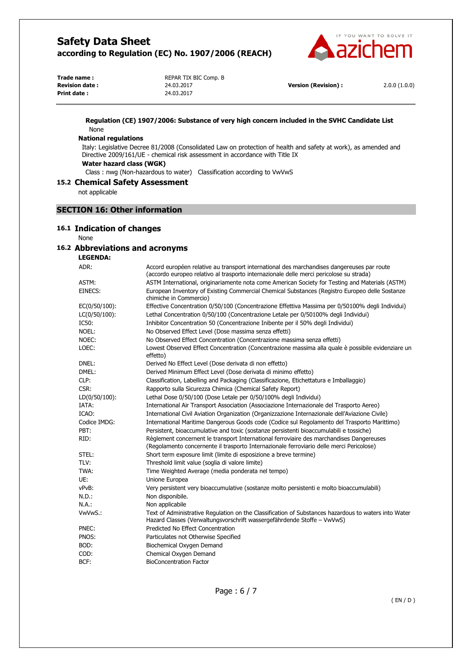

| Trade name:           |  |
|-----------------------|--|
| <b>Revision date:</b> |  |
| Print date:           |  |

**REPAR TIX BIC Comp. B Print date :** 24.03.2017

**Revision date :** 24.03.2017 **Version (Revision) :** 2.0.0 (1.0.0)

#### **Regulation (CE) 1907/2006: Substance of very high concern included in the SVHC Candidate List**  None

# **National regulations**

Italy: Legislative Decree 81/2008 (Consolidated Law on protection of health and safety at work), as amended and Directive 2009/161/UE - chemical risk assessment in accordance with Title IX

**Water hazard class (WGK)** 

Class : nwg (Non-hazardous to water) Classification according to VwVwS

# **15.2 Chemical Safety Assessment**

not applicable

# **SECTION 16: Other information**

#### **16.1 Indication of changes**

None

# **16.2 Abbreviations and acronyms**

#### **LEGENDA:**

| ADR:          | Accord européen relative au transport international des marchandises dangereuses par route<br>(accordo europeo relativo al trasporto internazionale delle merci pericolose su strada) |
|---------------|---------------------------------------------------------------------------------------------------------------------------------------------------------------------------------------|
| ASTM:         | ASTM International, originariamente nota come American Society for Testing and Materials (ASTM)                                                                                       |
| EINECS:       | European Inventory of Existing Commercial Chemical Substances (Registro Europeo delle Sostanze<br>chimiche in Commercio)                                                              |
| EC(0/50/100): | Effective Concentration 0/50/100 (Concentrazione Effettiva Massima per 0/50100% degli Individui)                                                                                      |
| LC(0/50/100): | Lethal Concentration 0/50/100 (Concentrazione Letale per 0/50100% degli Individui)                                                                                                    |
| IC50:         | Inhibitor Concentration 50 (Concentrazione Inibente per il 50% degli Individui)                                                                                                       |
| NOEL:         | No Observed Effect Level (Dose massima senza effetti)                                                                                                                                 |
| NOEC:         | No Observed Effect Concentration (Concentrazione massima senza effetti)                                                                                                               |
| LOEC:         | Lowest Observed Effect Concentration (Concentrazione massima alla quale è possibile evidenziare un<br>effetto)                                                                        |
| DNEL:         | Derived No Effect Level (Dose derivata di non effetto)                                                                                                                                |
| DMEL:         | Derived Minimum Effect Level (Dose derivata di minimo effetto)                                                                                                                        |
| CLP:          | Classification, Labelling and Packaging (Classificazione, Etichettatura e Imballaggio)                                                                                                |
| CSR:          | Rapporto sulla Sicurezza Chimica (Chemical Safety Report)                                                                                                                             |
| LD(0/50/100): | Lethal Dose 0/50/100 (Dose Letale per 0/50/100% degli Individui)                                                                                                                      |
| IATA:         | International Air Transport Association (Associazione Internazionale del Trasporto Aereo)                                                                                             |
| ICAO:         | International Civil Aviation Organization (Organizzazione Internazionale dell'Aviazione Civile)                                                                                       |
| Codice IMDG:  | International Maritime Dangerous Goods code (Codice sul Regolamento del Trasporto Marittimo)                                                                                          |
| PBT:          | Persistent, bioaccumulative and toxic (sostanze persistenti bioaccumulabili e tossiche)                                                                                               |
| RID:          | Règlement concernent le transport International ferroviaire des marchandises Dangereuses<br>(Regolamento concernente il trasporto Internazionale ferroviario delle merci Pericolose)  |
| STEL:         | Short term exposure limit (limite di esposizione a breve termine)                                                                                                                     |
| TLV:          | Threshold limit value (soglia di valore limite)                                                                                                                                       |
| TWA:          | Time Weighted Average (media ponderata nel tempo)                                                                                                                                     |
| UE:           | Unione Europea                                                                                                                                                                        |
| vPvB:         | Very persistent very bioaccumulative (sostanze molto persistenti e molto bioaccumulabili)                                                                                             |
| $N.D.$ :      | Non disponibile.                                                                                                                                                                      |
| N.A.:         | Non applicabile                                                                                                                                                                       |
| VwVwS.:       | Text of Administrative Regulation on the Classification of Substances hazardous to waters into Water<br>Hazard Classes (Verwaltungsvorschrift wassergefährdende Stoffe – VwVwS)       |
| PNEC:         | Predicted No Effect Concentration                                                                                                                                                     |
| PNOS:         | Particulates not Otherwise Specified                                                                                                                                                  |
| BOD:          | Biochemical Oxygen Demand                                                                                                                                                             |
| COD:          | Chemical Oxygen Demand                                                                                                                                                                |
| BCF:          | <b>BioConcentration Factor</b>                                                                                                                                                        |